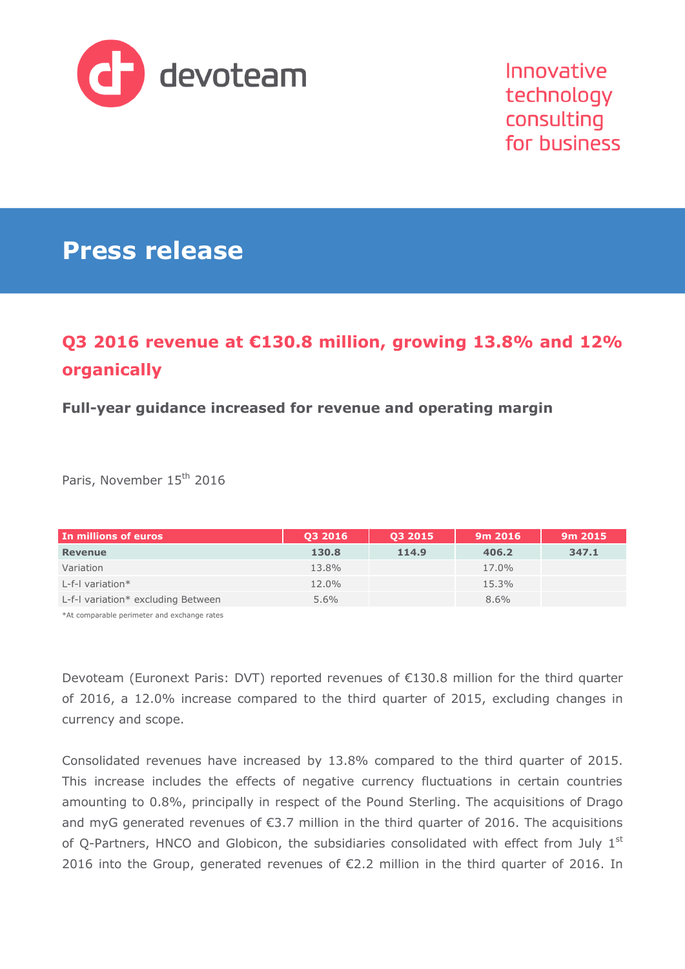

# **Press release**

# **Q3 2016 revenue at €130.8 million, growing 13.8% and 12% organically**

## **Full-year guidance increased for revenue and operating margin**

Paris, November 15<sup>th</sup> 2016

| In millions of euros               | 03 2016 | 03 2015 | 9m 2016 | 9m 2015 |
|------------------------------------|---------|---------|---------|---------|
| <b>Revenue</b>                     | 130.8   | 114.9   | 406.2   | 347.1   |
| Variation                          | 13.8%   |         | 17.0%   |         |
| L-f-I variation $*$                | 12.0%   |         | 15.3%   |         |
| L-f-I variation* excluding Between | $5.6\%$ |         | 8.6%    |         |

\*At comparable perimeter and exchange rates

Devoteam (Euronext Paris: DVT) reported revenues of €130.8 million for the third quarter of 2016, a 12.0% increase compared to the third quarter of 2015, excluding changes in currency and scope.

Consolidated revenues have increased by 13.8% compared to the third quarter of 2015. This increase includes the effects of negative currency fluctuations in certain countries amounting to 0.8%, principally in respect of the Pound Sterling. The acquisitions of Drago and myG generated revenues of €3.7 million in the third quarter of 2016. The acquisitions of Q-Partners, HNCO and Globicon, the subsidiaries consolidated with effect from July  $1<sup>st</sup>$ 2016 into the Group, generated revenues of €2.2 million in the third quarter of 2016. In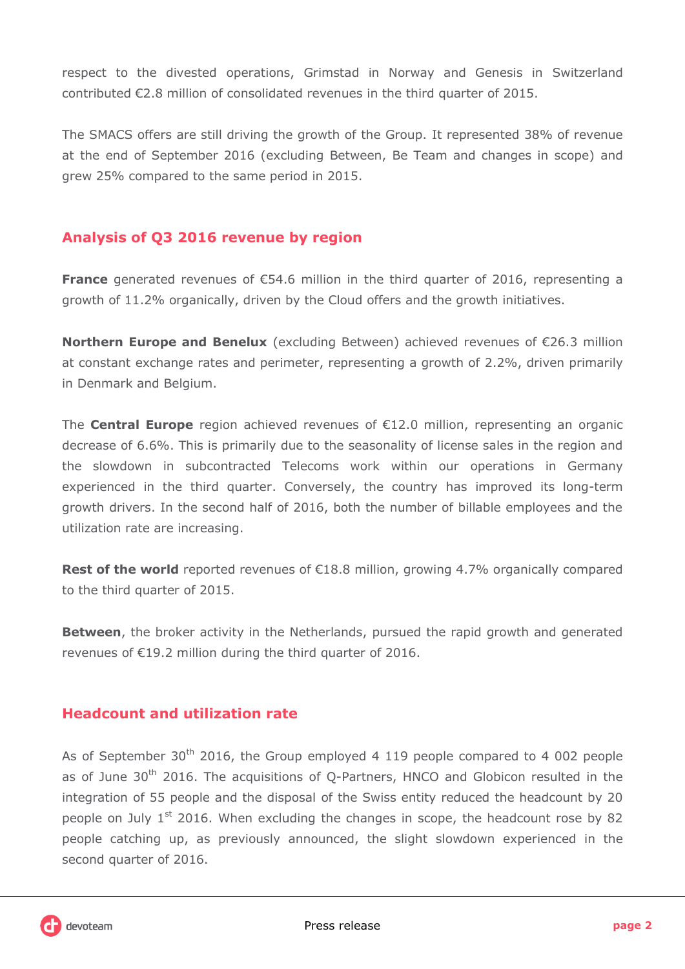respect to the divested operations, Grimstad in Norway and Genesis in Switzerland contributed €2.8 million of consolidated revenues in the third quarter of 2015.

The SMACS offers are still driving the growth of the Group. It represented 38% of revenue at the end of September 2016 (excluding Between, Be Team and changes in scope) and grew 25% compared to the same period in 2015.

## **Analysis of Q3 2016 revenue by region**

**France** generated revenues of €54.6 million in the third quarter of 2016, representing a growth of 11.2% organically, driven by the Cloud offers and the growth initiatives.

**Northern Europe and Benelux** (excluding Between) achieved revenues of €26.3 million at constant exchange rates and perimeter, representing a growth of 2.2%, driven primarily in Denmark and Belgium.

The **Central Europe** region achieved revenues of €12.0 million, representing an organic decrease of 6.6%. This is primarily due to the seasonality of license sales in the region and the slowdown in subcontracted Telecoms work within our operations in Germany experienced in the third quarter. Conversely, the country has improved its long-term growth drivers. In the second half of 2016, both the number of billable employees and the utilization rate are increasing.

**Rest of the world** reported revenues of €18.8 million, growing 4.7% organically compared to the third quarter of 2015.

**Between**, the broker activity in the Netherlands, pursued the rapid growth and generated revenues of €19.2 million during the third quarter of 2016.

## **Headcount and utilization rate**

As of September  $30<sup>th</sup>$  2016, the Group employed 4 119 people compared to 4 002 people as of June  $30<sup>th</sup>$  2016. The acquisitions of Q-Partners, HNCO and Globicon resulted in the integration of 55 people and the disposal of the Swiss entity reduced the headcount by 20 people on July  $1<sup>st</sup>$  2016. When excluding the changes in scope, the headcount rose by 82 people catching up, as previously announced, the slight slowdown experienced in the second quarter of 2016.

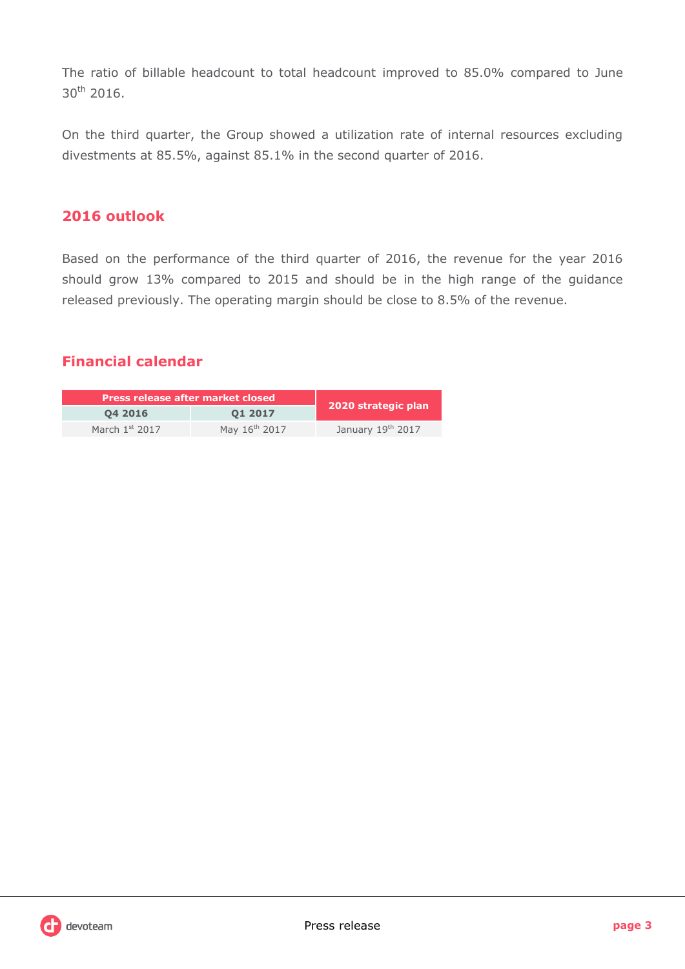The ratio of billable headcount to total headcount improved to 85.0% compared to June 30<sup>th</sup> 2016.

On the third quarter, the Group showed a utilization rate of internal resources excluding divestments at 85.5%, against 85.1% in the second quarter of 2016.

## **2016 outlook**

Based on the performance of the third quarter of 2016, the revenue for the year 2016 should grow 13% compared to 2015 and should be in the high range of the guidance released previously. The operating margin should be close to 8.5% of the revenue.

## **Financial calendar**

| Press release after market closed |                           |                     |  |
|-----------------------------------|---------------------------|---------------------|--|
| 04 2016                           | 01 2017                   | 2020 strategic plan |  |
| March $1st$ 2017                  | May 16 <sup>th</sup> 2017 | January 19th 2017   |  |

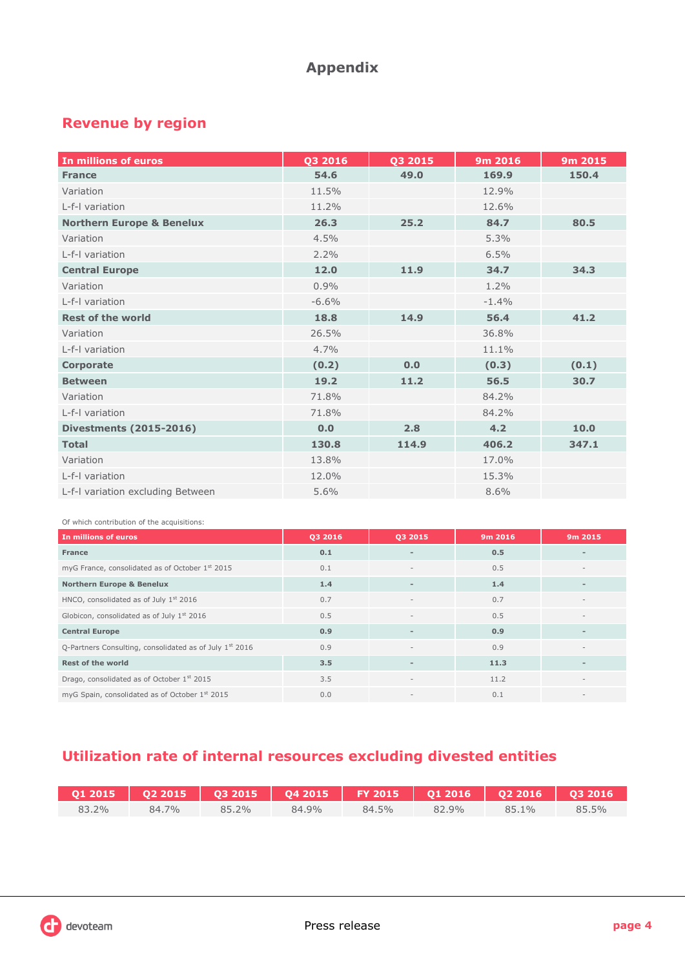## **Appendix**

## **Revenue by region**

| In millions of euros                 | Q3 2016 | Q3 2015 | 9m 2016 | 9m 2015 |
|--------------------------------------|---------|---------|---------|---------|
| <b>France</b>                        | 54.6    | 49.0    | 169.9   | 150.4   |
| Variation                            | 11.5%   |         | 12.9%   |         |
| L-f-I variation                      | 11.2%   |         | 12.6%   |         |
| <b>Northern Europe &amp; Benelux</b> | 26.3    | 25.2    | 84.7    | 80.5    |
| Variation                            | 4.5%    |         | 5.3%    |         |
| L-f-I variation                      | 2.2%    |         | 6.5%    |         |
| <b>Central Europe</b>                | 12.0    | 11.9    | 34.7    | 34.3    |
| Variation                            | 0.9%    |         | $1.2\%$ |         |
| L-f-I variation                      | $-6.6%$ |         | $-1.4%$ |         |
| <b>Rest of the world</b>             | 18.8    | 14.9    | 56.4    | 41.2    |
| Variation                            | 26.5%   |         | 36.8%   |         |
| L-f-I variation                      | 4.7%    |         | 11.1%   |         |
| <b>Corporate</b>                     | (0.2)   | 0.0     | (0.3)   | (0.1)   |
| <b>Between</b>                       | 19.2    | 11.2    | 56.5    | 30.7    |
| Variation                            | 71.8%   |         | 84.2%   |         |
| L-f-I variation                      | 71.8%   |         | 84.2%   |         |
| <b>Divestments (2015-2016)</b>       | 0.0     | 2.8     | 4.2     | 10.0    |
| <b>Total</b>                         | 130.8   | 114.9   | 406.2   | 347.1   |
| Variation                            | 13.8%   |         | 17.0%   |         |
| L-f-I variation                      | 12.0%   |         | 15.3%   |         |
| L-f-I variation excluding Between    | 5.6%    |         | 8.6%    |         |

Of which contribution of the acquisitions:

| In millions of euros                                      | 03 2016 | Q3 2015                  | 9m 2016 | 9m 2015                  |
|-----------------------------------------------------------|---------|--------------------------|---------|--------------------------|
| <b>France</b>                                             | 0.1     | $\overline{\phantom{0}}$ | 0.5     |                          |
| myG France, consolidated as of October 1st 2015           | 0.1     | $\overline{\phantom{a}}$ | 0.5     |                          |
| <b>Northern Europe &amp; Benelux</b>                      | 1.4     | $\overline{\phantom{a}}$ | 1.4     |                          |
| HNCO, consolidated as of July 1st 2016                    | 0.7     |                          | 0.7     |                          |
| Globicon, consolidated as of July 1 <sup>st</sup> 2016    | 0.5     | $\overline{\phantom{a}}$ | 0.5     |                          |
| <b>Central Europe</b>                                     | 0.9     | $\overline{\phantom{a}}$ | 0.9     |                          |
| Q-Partners Consulting, consolidated as of July $1st$ 2016 | 0.9     | $\sim$                   | 0.9     |                          |
| <b>Rest of the world</b>                                  | 3.5     | $\overline{\phantom{a}}$ | 11.3    |                          |
| Drago, consolidated as of October 1st 2015                | 3.5     | $\overline{\phantom{a}}$ | 11.2    | $\overline{\phantom{a}}$ |
| myG Spain, consolidated as of October 1st 2015            | 0.0     | $\,$ $\,$                | 0.1     |                          |

## **Utilization rate of internal resources excluding divested entities**

| 83.2% | 84.7% | 85.2% | 84.9% | 84.5% | 82.9% | 85.1% | $85.5\%$ |
|-------|-------|-------|-------|-------|-------|-------|----------|



I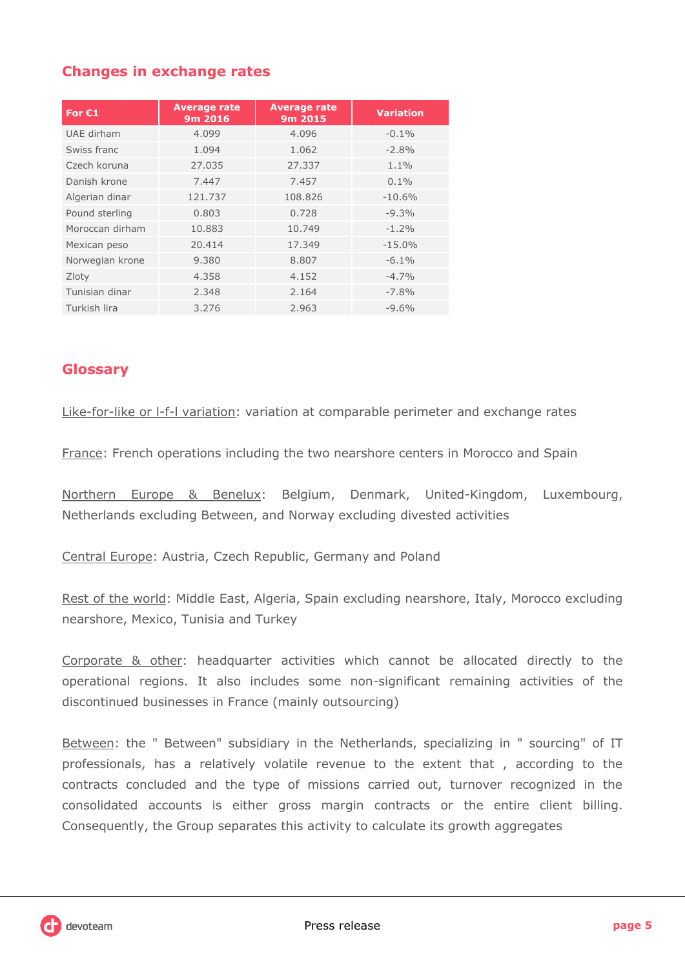## **Changes in exchange rates**

| For $C1$        | <b>Average rate</b><br>9m 2016 | <b>Average rate</b><br>9m 2015 | <b>Variation</b> |
|-----------------|--------------------------------|--------------------------------|------------------|
| UAE dirham      | 4.099                          | 4.096                          | $-0.1%$          |
| Swiss franc     | 1.094                          | 1.062                          | $-2.8%$          |
| Czech koruna    | 27.035                         | 27.337                         | $1.1\%$          |
| Danish krone    | 7.447                          | 7.457                          | $0.1\%$          |
| Algerian dinar  | 121.737                        | 108.826                        | $-10.6%$         |
| Pound sterling  | 0.803                          | 0.728                          | $-9.3%$          |
| Moroccan dirham | 10.883                         | 10.749                         | $-1.2%$          |
| Mexican peso    | 20.414                         | 17.349                         | $-15.0%$         |
| Norwegian krone | 9.380                          | 8.807                          | $-6.1\%$         |
| Zloty           | 4.358                          | 4.152                          | $-4.7%$          |
| Tunisian dinar  | 2.348                          | 2.164                          | $-7.8%$          |
| Turkish lira    | 3.276                          | 2.963                          | $-9.6%$          |

## **Glossary**

Like-for-like or l-f-l variation: variation at comparable perimeter and exchange rates

France: French operations including the two nearshore centers in Morocco and Spain

Northern Europe & Benelux: Belgium, Denmark, United-Kingdom, Luxembourg, Netherlands excluding Between, and Norway excluding divested activities

Central Europe: Austria, Czech Republic, Germany and Poland

Rest of the world: Middle East, Algeria, Spain excluding nearshore, Italy, Morocco excluding nearshore, Mexico, Tunisia and Turkey

Corporate & other: headquarter activities which cannot be allocated directly to the operational regions. It also includes some non-significant remaining activities of the discontinued businesses in France (mainly outsourcing)

Between: the " Between" subsidiary in the Netherlands, specializing in " sourcing" of IT professionals, has a relatively volatile revenue to the extent that , according to the contracts concluded and the type of missions carried out, turnover recognized in the consolidated accounts is either gross margin contracts or the entire client billing. Consequently, the Group separates this activity to calculate its growth aggregates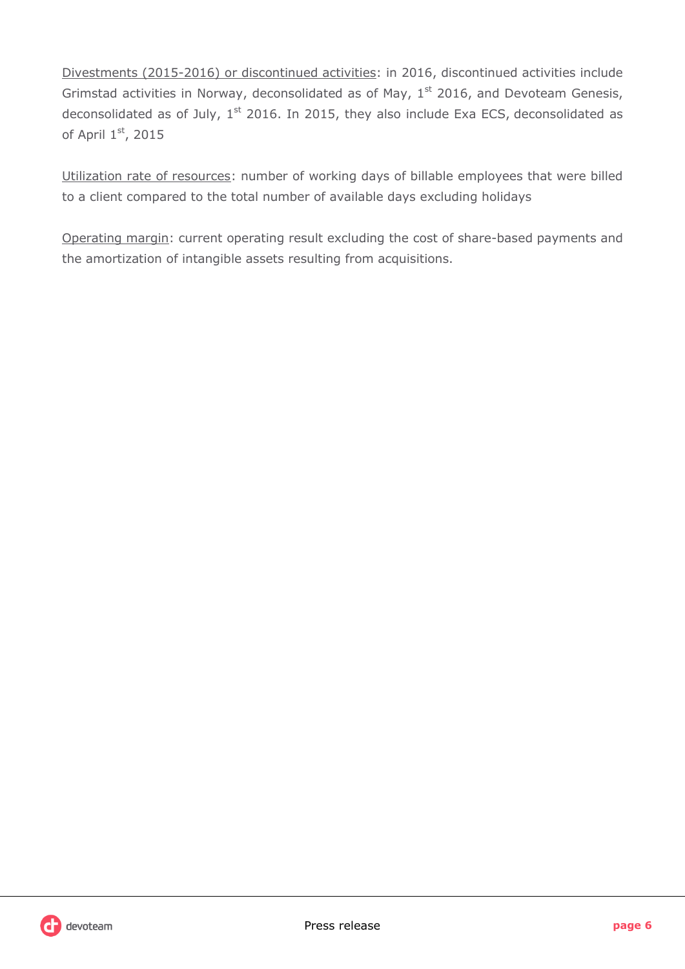Divestments (2015-2016) or discontinued activities: in 2016, discontinued activities include Grimstad activities in Norway, deconsolidated as of May,  $1<sup>st</sup>$  2016, and Devoteam Genesis, deconsolidated as of July,  $1<sup>st</sup>$  2016. In 2015, they also include Exa ECS, deconsolidated as of April 1st, 2015

Utilization rate of resources: number of working days of billable employees that were billed to a client compared to the total number of available days excluding holidays

Operating margin: current operating result excluding the cost of share-based payments and the amortization of intangible assets resulting from acquisitions.